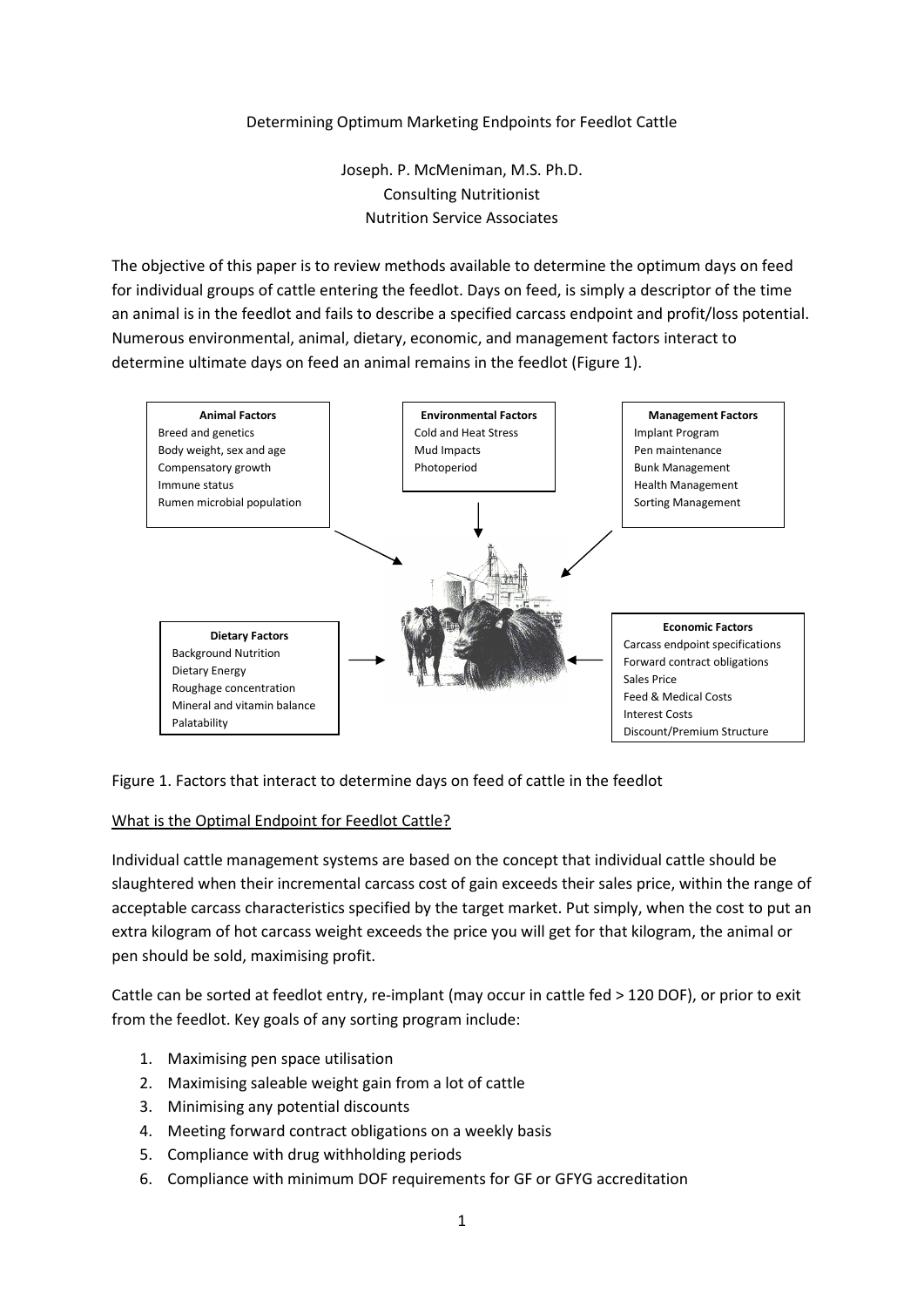## Determining Optimum Marketing Endpoints for Feedlot Cattle

Joseph. P. McMeniman, M.S. Ph.D. Consulting Nutritionist Nutrition Service Associates

The objective of this paper is to review methods available to determine the optimum days on feed for individual groups of cattle entering the feedlot. Days on feed, is simply a descriptor of the time an animal is in the feedlot and fails to describe a specified carcass endpoint and profit/loss potential. Numerous environmental, animal, dietary, economic, and management factors interact to determine ultimate days on feed an animal remains in the feedlot (Figure 1).



Figure 1. Factors that interact to determine days on feed of cattle in the feedlot

# What is the Optimal Endpoint for Feedlot Cattle?

Individual cattle management systems are based on the concept that individual cattle should be slaughtered when their incremental carcass cost of gain exceeds their sales price, within the range of acceptable carcass characteristics specified by the target market. Put simply, when the cost to put an extra kilogram of hot carcass weight exceeds the price you will get for that kilogram, the animal or pen should be sold, maximising profit.

Cattle can be sorted at feedlot entry, re-implant (may occur in cattle fed > 120 DOF), or prior to exit from the feedlot. Key goals of any sorting program include:

- 1. Maximising pen space utilisation
- 2. Maximising saleable weight gain from a lot of cattle
- 3. Minimising any potential discounts
- 4. Meeting forward contract obligations on a weekly basis
- 5. Compliance with drug withholding periods
- 6. Compliance with minimum DOF requirements for GF or GFYG accreditation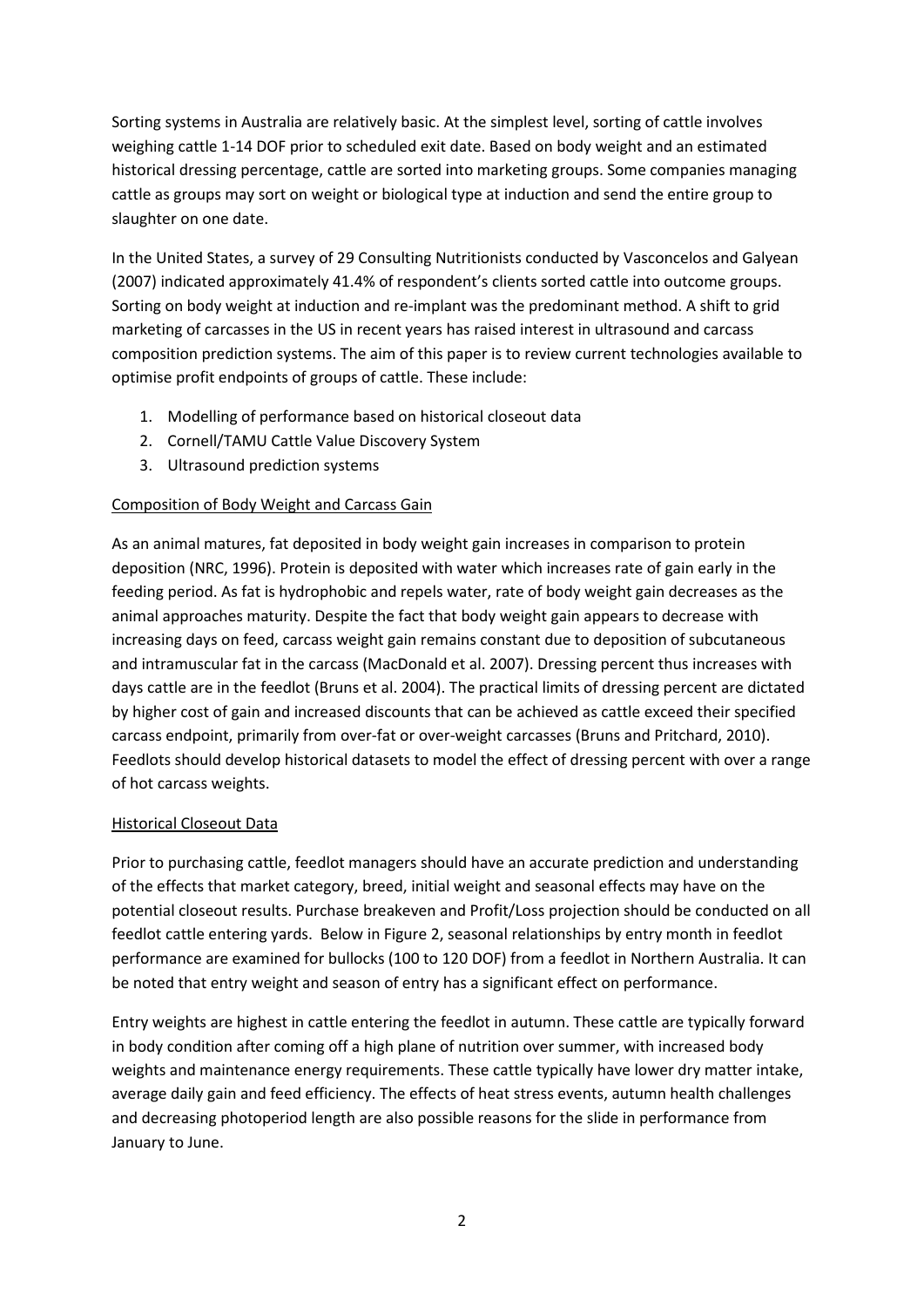Sorting systems in Australia are relatively basic. At the simplest level, sorting of cattle involves weighing cattle 1-14 DOF prior to scheduled exit date. Based on body weight and an estimated historical dressing percentage, cattle are sorted into marketing groups. Some companies managing cattle as groups may sort on weight or biological type at induction and send the entire group to slaughter on one date.

In the United States, a survey of 29 Consulting Nutritionists conducted by Vasconcelos and Galyean (2007) indicated approximately 41.4% of respondent's clients sorted cattle into outcome groups. Sorting on body weight at induction and re-implant was the predominant method. A shift to grid marketing of carcasses in the US in recent years has raised interest in ultrasound and carcass composition prediction systems. The aim of this paper is to review current technologies available to optimise profit endpoints of groups of cattle. These include:

- 1. Modelling of performance based on historical closeout data
- 2. Cornell/TAMU Cattle Value Discovery System
- 3. Ultrasound prediction systems

# Composition of Body Weight and Carcass Gain

As an animal matures, fat deposited in body weight gain increases in comparison to protein deposition (NRC, 1996). Protein is deposited with water which increases rate of gain early in the feeding period. As fat is hydrophobic and repels water, rate of body weight gain decreases as the animal approaches maturity. Despite the fact that body weight gain appears to decrease with increasing days on feed, carcass weight gain remains constant due to deposition of subcutaneous and intramuscular fat in the carcass (MacDonald et al. 2007). Dressing percent thus increases with days cattle are in the feedlot (Bruns et al. 2004). The practical limits of dressing percent are dictated by higher cost of gain and increased discounts that can be achieved as cattle exceed their specified carcass endpoint, primarily from over-fat or over-weight carcasses (Bruns and Pritchard, 2010). Feedlots should develop historical datasets to model the effect of dressing percent with over a range of hot carcass weights.

### Historical Closeout Data

Prior to purchasing cattle, feedlot managers should have an accurate prediction and understanding of the effects that market category, breed, initial weight and seasonal effects may have on the potential closeout results. Purchase breakeven and Profit/Loss projection should be conducted on all feedlot cattle entering yards. Below in Figure 2, seasonal relationships by entry month in feedlot performance are examined for bullocks (100 to 120 DOF) from a feedlot in Northern Australia. It can be noted that entry weight and season of entry has a significant effect on performance.

Entry weights are highest in cattle entering the feedlot in autumn. These cattle are typically forward in body condition after coming off a high plane of nutrition over summer, with increased body weights and maintenance energy requirements. These cattle typically have lower dry matter intake, average daily gain and feed efficiency. The effects of heat stress events, autumn health challenges and decreasing photoperiod length are also possible reasons for the slide in performance from January to June.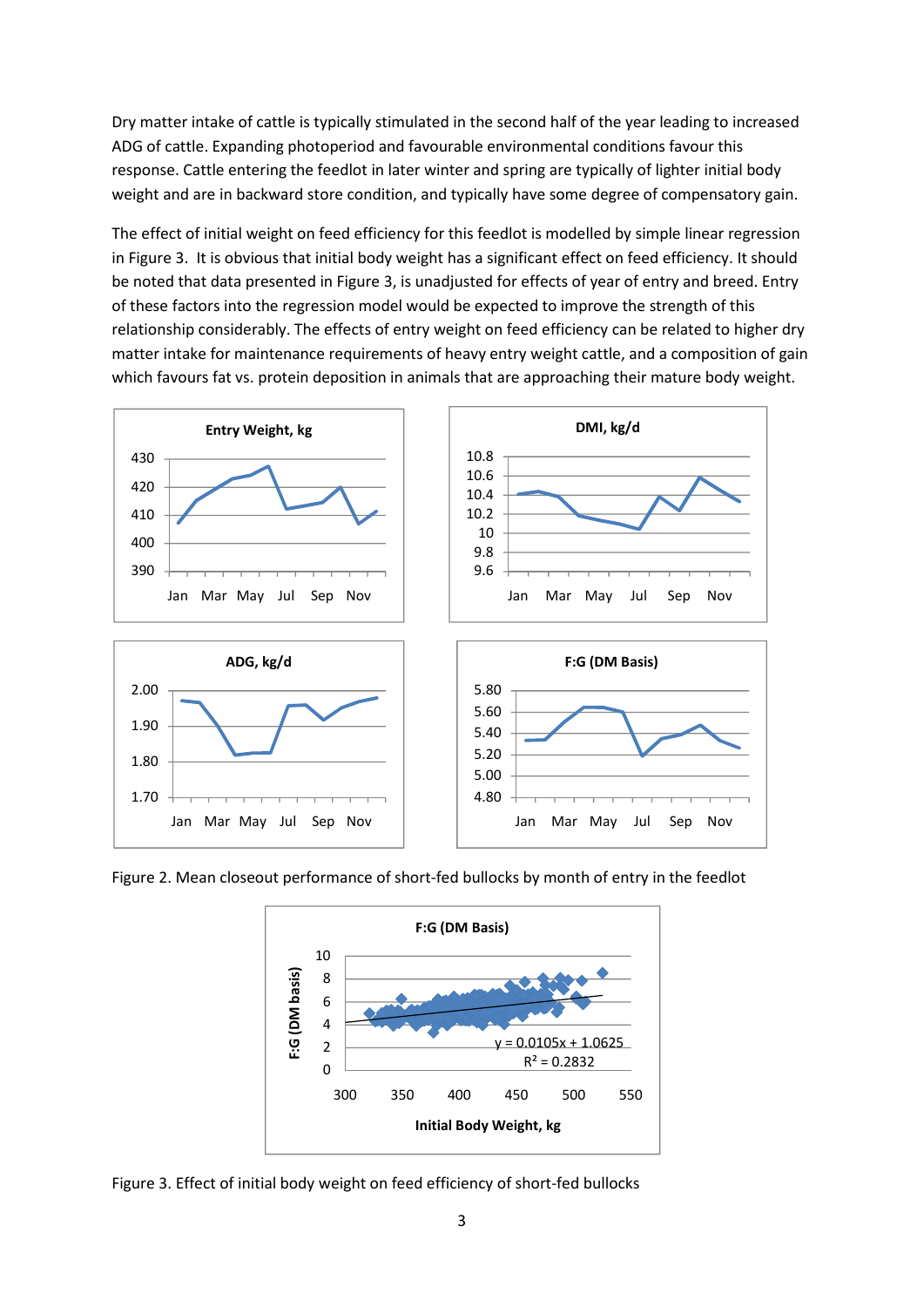Dry matter intake of cattle is typically stimulated in the second half of the year leading to increased ADG of cattle. Expanding photoperiod and favourable environmental conditions favour this response. Cattle entering the feedlot in later winter and spring are typically of lighter initial body weight and are in backward store condition, and typically have some degree of compensatory gain.

The effect of initial weight on feed efficiency for this feedlot is modelled by simple linear regression in Figure 3. It is obvious that initial body weight has a significant effect on feed efficiency. It should be noted that data presented in Figure 3, is unadjusted for effects of year of entry and breed. Entry of these factors into the regression model would be expected to improve the strength of this relationship considerably. The effects of entry weight on feed efficiency can be related to higher dry matter intake for maintenance requirements of heavy entry weight cattle, and a composition of gain which favours fat vs. protein deposition in animals that are approaching their mature body weight.



Figure 2. Mean closeout performance of short-fed bullocks by month of entry in the feedlot



Figure 3. Effect of initial body weight on feed efficiency of short-fed bullocks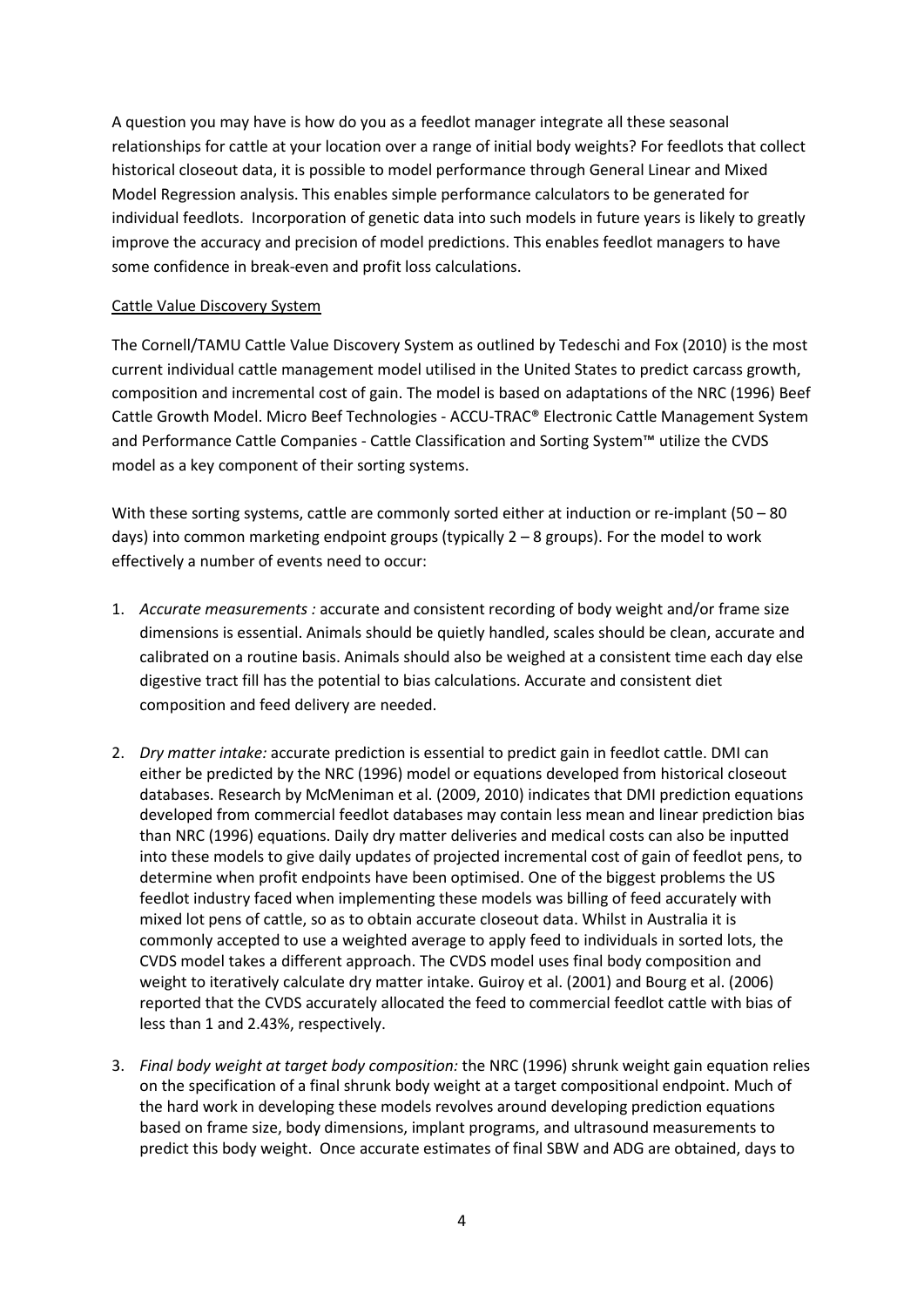A question you may have is how do you as a feedlot manager integrate all these seasonal relationships for cattle at your location over a range of initial body weights? For feedlots that collect historical closeout data, it is possible to model performance through General Linear and Mixed Model Regression analysis. This enables simple performance calculators to be generated for individual feedlots. Incorporation of genetic data into such models in future years is likely to greatly improve the accuracy and precision of model predictions. This enables feedlot managers to have some confidence in break-even and profit loss calculations.

## Cattle Value Discovery System

The Cornell/TAMU Cattle Value Discovery System as outlined by Tedeschi and Fox (2010) is the most current individual cattle management model utilised in the United States to predict carcass growth, composition and incremental cost of gain. The model is based on adaptations of the NRC (1996) Beef Cattle Growth Model. Micro Beef Technologies - ACCU-TRAC® Electronic Cattle Management System and Performance Cattle Companies - Cattle Classification and Sorting System™ utilize the CVDS model as a key component of their sorting systems.

With these sorting systems, cattle are commonly sorted either at induction or re-implant (50 – 80 days) into common marketing endpoint groups (typically 2 – 8 groups). For the model to work effectively a number of events need to occur:

- 1. *Accurate measurements :* accurate and consistent recording of body weight and/or frame size dimensions is essential. Animals should be quietly handled, scales should be clean, accurate and calibrated on a routine basis. Animals should also be weighed at a consistent time each day else digestive tract fill has the potential to bias calculations. Accurate and consistent diet composition and feed delivery are needed.
- 2. *Dry matter intake:* accurate prediction is essential to predict gain in feedlot cattle. DMI can either be predicted by the NRC (1996) model or equations developed from historical closeout databases. Research by McMeniman et al. (2009, 2010) indicates that DMI prediction equations developed from commercial feedlot databases may contain less mean and linear prediction bias than NRC (1996) equations. Daily dry matter deliveries and medical costs can also be inputted into these models to give daily updates of projected incremental cost of gain of feedlot pens, to determine when profit endpoints have been optimised. One of the biggest problems the US feedlot industry faced when implementing these models was billing of feed accurately with mixed lot pens of cattle, so as to obtain accurate closeout data. Whilst in Australia it is commonly accepted to use a weighted average to apply feed to individuals in sorted lots, the CVDS model takes a different approach. The CVDS model uses final body composition and weight to iteratively calculate dry matter intake. Guiroy et al. (2001) and Bourg et al. (2006) reported that the CVDS accurately allocated the feed to commercial feedlot cattle with bias of less than 1 and 2.43%, respectively.
- 3. *Final body weight at target body composition:* the NRC (1996) shrunk weight gain equation relies on the specification of a final shrunk body weight at a target compositional endpoint. Much of the hard work in developing these models revolves around developing prediction equations based on frame size, body dimensions, implant programs, and ultrasound measurements to predict this body weight. Once accurate estimates of final SBW and ADG are obtained, days to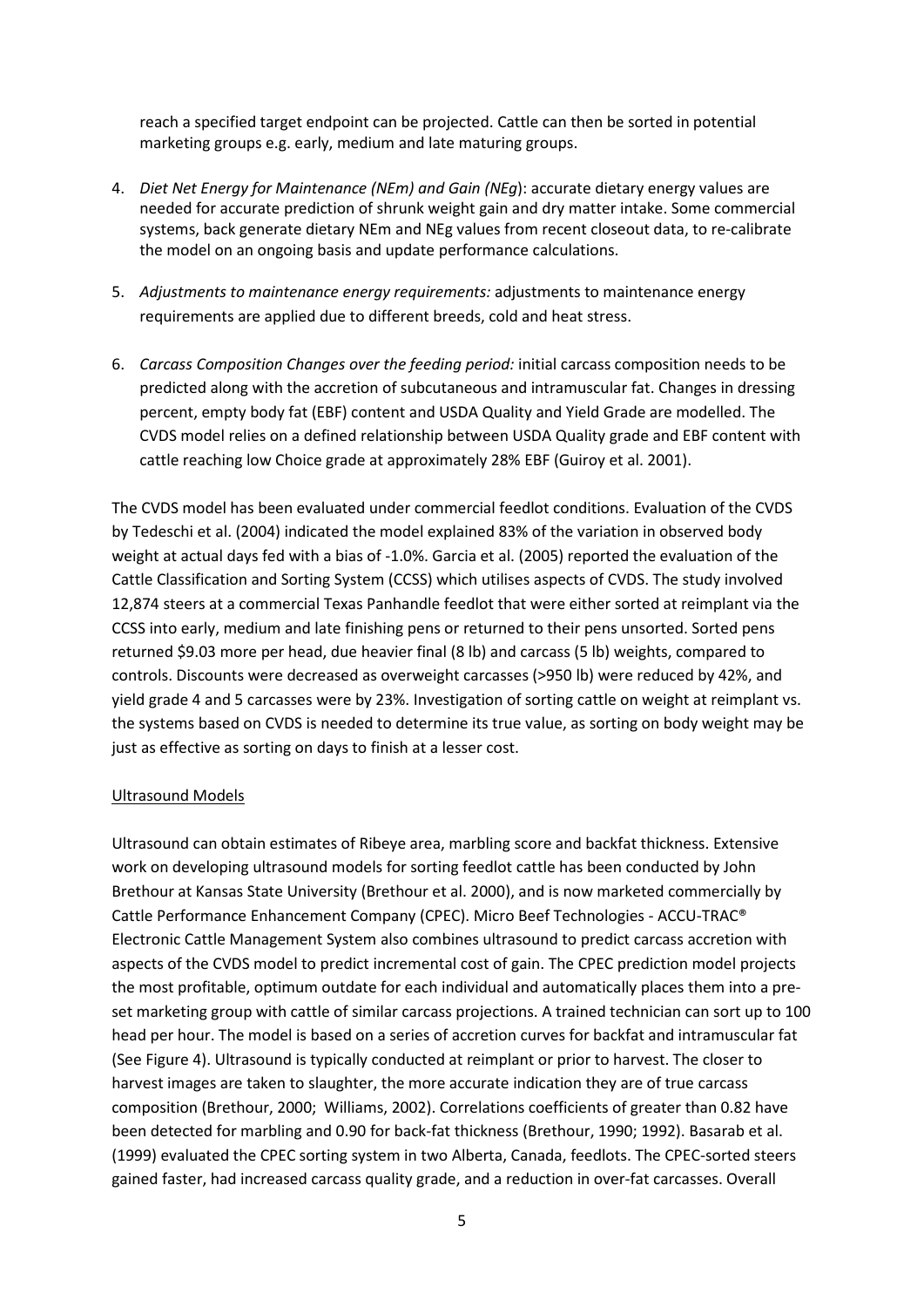reach a specified target endpoint can be projected. Cattle can then be sorted in potential marketing groups e.g. early, medium and late maturing groups.

- 4. *Diet Net Energy for Maintenance (NEm) and Gain (NEg*): accurate dietary energy values are needed for accurate prediction of shrunk weight gain and dry matter intake. Some commercial systems, back generate dietary NEm and NEg values from recent closeout data, to re-calibrate the model on an ongoing basis and update performance calculations.
- 5. *Adjustments to maintenance energy requirements:* adjustments to maintenance energy requirements are applied due to different breeds, cold and heat stress.
- 6. *Carcass Composition Changes over the feeding period:* initial carcass composition needs to be predicted along with the accretion of subcutaneous and intramuscular fat. Changes in dressing percent, empty body fat (EBF) content and USDA Quality and Yield Grade are modelled. The CVDS model relies on a defined relationship between USDA Quality grade and EBF content with cattle reaching low Choice grade at approximately 28% EBF (Guiroy et al. 2001).

The CVDS model has been evaluated under commercial feedlot conditions. Evaluation of the CVDS by Tedeschi et al. (2004) indicated the model explained 83% of the variation in observed body weight at actual days fed with a bias of -1.0%. Garcia et al. (2005) reported the evaluation of the Cattle Classification and Sorting System (CCSS) which utilises aspects of CVDS. The study involved 12,874 steers at a commercial Texas Panhandle feedlot that were either sorted at reimplant via the CCSS into early, medium and late finishing pens or returned to their pens unsorted. Sorted pens returned \$9.03 more per head, due heavier final (8 lb) and carcass (5 lb) weights, compared to controls. Discounts were decreased as overweight carcasses (>950 lb) were reduced by 42%, and yield grade 4 and 5 carcasses were by 23%. Investigation of sorting cattle on weight at reimplant vs. the systems based on CVDS is needed to determine its true value, as sorting on body weight may be just as effective as sorting on days to finish at a lesser cost.

### Ultrasound Models

Ultrasound can obtain estimates of Ribeye area, marbling score and backfat thickness. Extensive work on developing ultrasound models for sorting feedlot cattle has been conducted by John Brethour at Kansas State University (Brethour et al. 2000), and is now marketed commercially by Cattle Performance Enhancement Company (CPEC). Micro Beef Technologies - ACCU-TRAC® Electronic Cattle Management System also combines ultrasound to predict carcass accretion with aspects of the CVDS model to predict incremental cost of gain. The CPEC prediction model projects the most profitable, optimum outdate for each individual and automatically places them into a preset marketing group with cattle of similar carcass projections. A trained technician can sort up to 100 head per hour. The model is based on a series of accretion curves for backfat and intramuscular fat (See Figure 4). Ultrasound is typically conducted at reimplant or prior to harvest. The closer to harvest images are taken to slaughter, the more accurate indication they are of true carcass composition (Brethour, 2000; Williams, 2002). Correlations coefficients of greater than 0.82 have been detected for marbling and 0.90 for back-fat thickness (Brethour, 1990; 1992). Basarab et al. (1999) evaluated the CPEC sorting system in two Alberta, Canada, feedlots. The CPEC-sorted steers gained faster, had increased carcass quality grade, and a reduction in over-fat carcasses. Overall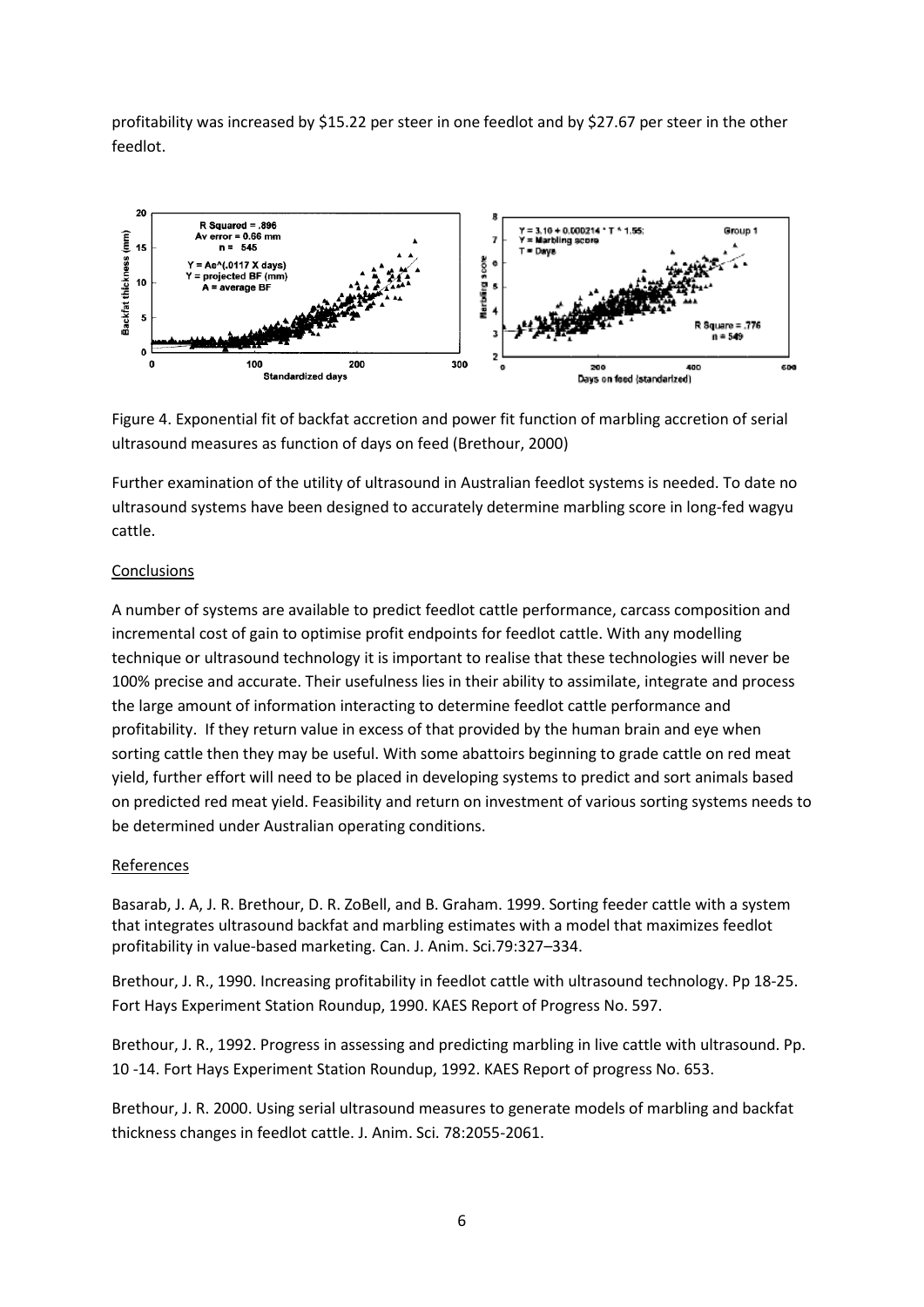profitability was increased by \$15.22 per steer in one feedlot and by \$27.67 per steer in the other feedlot.



Figure 4. Exponential fit of backfat accretion and power fit function of marbling accretion of serial ultrasound measures as function of days on feed (Brethour, 2000)

Further examination of the utility of ultrasound in Australian feedlot systems is needed. To date no ultrasound systems have been designed to accurately determine marbling score in long-fed wagyu cattle.

## **Conclusions**

A number of systems are available to predict feedlot cattle performance, carcass composition and incremental cost of gain to optimise profit endpoints for feedlot cattle. With any modelling technique or ultrasound technology it is important to realise that these technologies will never be 100% precise and accurate. Their usefulness lies in their ability to assimilate, integrate and process the large amount of information interacting to determine feedlot cattle performance and profitability. If they return value in excess of that provided by the human brain and eye when sorting cattle then they may be useful. With some abattoirs beginning to grade cattle on red meat yield, further effort will need to be placed in developing systems to predict and sort animals based on predicted red meat yield. Feasibility and return on investment of various sorting systems needs to be determined under Australian operating conditions.

### References

Basarab, J. A, J. R. Brethour, D. R. ZoBell, and B. Graham. 1999. Sorting feeder cattle with a system that integrates ultrasound backfat and marbling estimates with a model that maximizes feedlot profitability in value-based marketing. Can. J. Anim. Sci.79:327–334.

Brethour, J. R., 1990. Increasing profitability in feedlot cattle with ultrasound technology. Pp 18-25. Fort Hays Experiment Station Roundup, 1990. KAES Report of Progress No. 597.

Brethour, J. R., 1992. Progress in assessing and predicting marbling in live cattle with ultrasound. Pp. 10 -14. Fort Hays Experiment Station Roundup, 1992. KAES Report of progress No. 653.

Brethour, J. R. 2000. Using serial ultrasound measures to generate models of marbling and backfat thickness changes in feedlot cattle. J. Anim. Sci. 78:2055-2061.